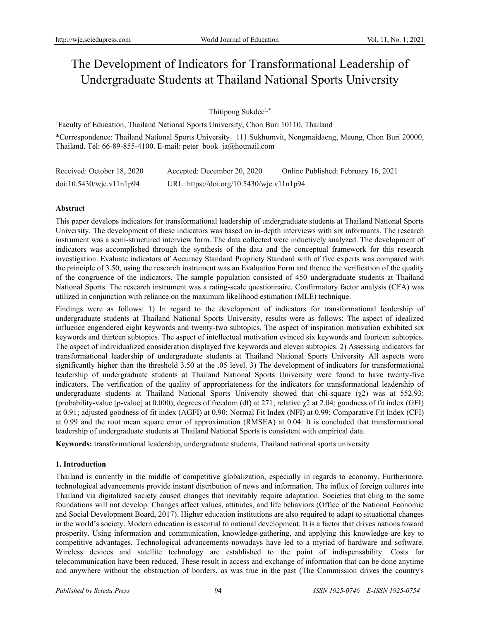# The Development of Indicators for Transformational Leadership of Undergraduate Students at Thailand National Sports University

Thitipong Sukdee<sup>1,\*</sup>

<sup>1</sup>Faculty of Education, Thailand National Sports University, Chon Buri 10110, Thailand

\*Correspondence: Thailand National Sports University, 111 Sukhumvit, Nongmaidaeng, Meung, Chon Buri 20000, Thailand. Tel: 66-89-855-4100. E-mail: peter\_book\_ja@hotmail.com

| Received: October 18, 2020 | Accepted: December 20, 2020               | Online Published: February 16, 2021 |
|----------------------------|-------------------------------------------|-------------------------------------|
| doi:10.5430/wje.v11n1p94   | URL: https://doi.org/10.5430/wje.v11n1p94 |                                     |

# **Abstract**

This paper develops indicators for transformational leadership of undergraduate students at Thailand National Sports University. The development of these indicators was based on in-depth interviews with six informants. The research instrument was a semi-structured interview form. The data collected were inductively analyzed. The development of indicators was accomplished through the synthesis of the data and the conceptual framework for this research investigation. Evaluate indicators of Accuracy Standard Propriety Standard with of five experts was compared with the principle of 3.50, using the research instrument was an Evaluation Form and thence the verification of the quality of the congruence of the indicators. The sample population consisted of 450 undergraduate students at Thailand National Sports. The research instrument was a rating-scale questionnaire. Confirmatory factor analysis (CFA) was utilized in conjunction with reliance on the maximum likelihood estimation (MLE) technique.

Findings were as follows: 1) In regard to the development of indicators for transformational leadership of undergraduate students at Thailand National Sports University, results were as follows: The aspect of idealized influence engendered eight keywords and twenty-two subtopics. The aspect of inspiration motivation exhibited six keywords and thirteen subtopics. The aspect of intellectual motivation evinced six keywords and fourteen subtopics. The aspect of individualized consideration displayed five keywords and eleven subtopics. 2) Assessing indicators for transformational leadership of undergraduate students at Thailand National Sports University All aspects were significantly higher than the threshold 3.50 at the .05 level. 3) The development of indicators for transformational leadership of undergraduate students at Thailand National Sports University were found to have twenty-five indicators. The verification of the quality of appropriateness for the indicators for transformational leadership of undergraduate students at Thailand National Sports University showed that chi-square  $(\gamma_2)$  was at 552.93; (probability-value [p-value] at 0.000); degrees of freedom (df) at 271; relative χ2 at 2.04; goodness of fit index (GFI) at 0.91; adjusted goodness of fit index (AGFI) at 0.90; Normal Fit Index (NFI) at 0.99; Comparative Fit Index (CFI) at 0.99 and the root mean square error of approximation (RMSEA) at 0.04. It is concluded that transformational leadership of undergraduate students at Thailand National Sports is consistent with empirical data.

**Keywords:** transformational leadership, undergraduate students, Thailand national sports university

# **1. Introduction**

Thailand is currently in the middle of competitive globalization, especially in regards to economy. Furthermore, technological advancements provide instant distribution of news and information. The influx of foreign cultures into Thailand via digitalized society caused changes that inevitably require adaptation. Societies that cling to the same foundations will not develop. Changes affect values, attitudes, and life behaviors (Office of the National Economic and Social Development Board, 2017). Higher education institutions are also required to adapt to situational changes in the world's society. Modern education is essential to national development. It is a factor that drives nations toward prosperity. Using information and communication, knowledge-gathering, and applying this knowledge are key to competitive advantages. Technological advancements nowadays have led to a myriad of hardware and software. Wireless devices and satellite technology are established to the point of indispensability. Costs for telecommunication have been reduced. These result in access and exchange of information that can be done anytime and anywhere without the obstruction of borders, as was true in the past (The Commission drives the country's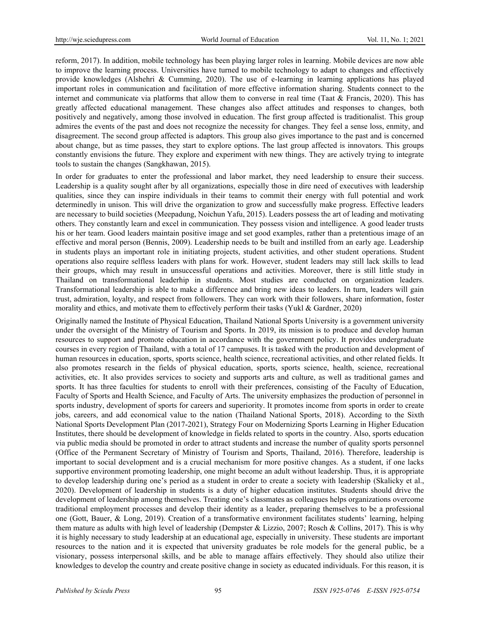reform, 2017). In addition, mobile technology has been playing larger roles in learning. Mobile devices are now able to improve the learning process. Universities have turned to mobile technology to adapt to changes and effectively provide knowledges (Alshehri & Cumming, 2020). The use of e-learning in learning applications has played important roles in communication and facilitation of more effective information sharing. Students connect to the internet and communicate via platforms that allow them to converse in real time (Taat & Francis, 2020). This has greatly affected educational management. These changes also affect attitudes and responses to changes, both positively and negatively, among those involved in education. The first group affected is traditionalist. This group admires the events of the past and does not recognize the necessity for changes. They feel a sense loss, enmity, and disagreement. The second group affected is adaptors. This group also gives importance to the past and is concerned about change, but as time passes, they start to explore options. The last group affected is innovators. This groups constantly envisions the future. They explore and experiment with new things. They are actively trying to integrate tools to sustain the changes (Sangkhawan, 2015).

In order for graduates to enter the professional and labor market, they need leadership to ensure their success. Leadership is a quality sought after by all organizations, especially those in dire need of executives with leadership qualities, since they can inspire individuals in their teams to commit their energy with full potential and work determinedly in unison. This will drive the organization to grow and successfully make progress. Effective leaders are necessary to build societies (Meepadung, Noichun Yafu, 2015). Leaders possess the art of leading and motivating others. They constantly learn and excel in communication. They possess vision and intelligence. A good leader trusts his or her team. Good leaders maintain positive image and set good examples, rather than a pretentious image of an effective and moral person (Bennis, 2009). Leadership needs to be built and instilled from an early age. Leadership in students plays an important role in initiating projects, student activities, and other student operations. Student operations also require selfless leaders with plans for work. However, student leaders may still lack skills to lead their groups, which may result in unsuccessful operations and activities. Moreover, there is still little study in Thailand on transformational leaderhip in students. Most studies are conducted on organization leaders. Transformational leadership is able to make a difference and bring new ideas to leaders. In turn, leaders will gain trust, admiration, loyalty, and respect from followers. They can work with their followers, share information, foster morality and ethics, and motivate them to effectively perform their tasks (Yukl & Gardner, 2020)

Originally named the Institute of Physical Education, Thailand National Sports University is a government university under the oversight of the Ministry of Tourism and Sports. In 2019, its mission is to produce and develop human resources to support and promote education in accordance with the government policy. It provides undergraduate courses in every region of Thailand, with a total of 17 campuses. It is tasked with the production and development of human resources in education, sports, sports science, health science, recreational activities, and other related fields. It also promotes research in the fields of physical education, sports, sports science, health, science, recreational activities, etc. It also provides services to society and supports arts and culture, as well as traditional games and sports. It has three faculties for students to enroll with their preferences, consisting of the Faculty of Education, Faculty of Sports and Health Science, and Faculty of Arts. The university emphasizes the production of personnel in sports industry, development of sports for careers and superiority. It promotes income from sports in order to create jobs, careers, and add economical value to the nation (Thailand National Sports, 2018). According to the Sixth National Sports Development Plan (2017-2021), Strategy Four on Modernizing Sports Learning in Higher Education Institutes, there should be development of knowledge in fields related to sports in the country. Also, sports education via public media should be promoted in order to attract students and increase the number of quality sports personnel (Office of the Permanent Secretary of Ministry of Tourism and Sports, Thailand, 2016). Therefore, leadership is important to social development and is a crucial mechanism for more positive changes. As a student, if one lacks supportive environment promoting leadership, one might become an adult without leadership. Thus, it is appropriate to develop leadership during one's period as a student in order to create a society with leadership (Skalicky et al., 2020). Development of leadership in students is a duty of higher education institutes. Students should drive the development of leadership among themselves. Treating one's classmates as colleagues helps organizations overcome traditional employment processes and develop their identity as a leader, preparing themselves to be a professional one (Gott, Bauer, & Long, 2019). Creation of a transformative environment facilitates students' learning, helping them mature as adults with high level of leadership (Dempster & Lizzio, 2007; Rosch & Collins, 2017). This is why it is highly necessary to study leadership at an educational age, especially in university. These students are important resources to the nation and it is expected that university graduates be role models for the general public, be a visionary, possess interpersonal skills, and be able to manage affairs effectively. They should also utilize their knowledges to develop the country and create positive change in society as educated individuals. For this reason, it is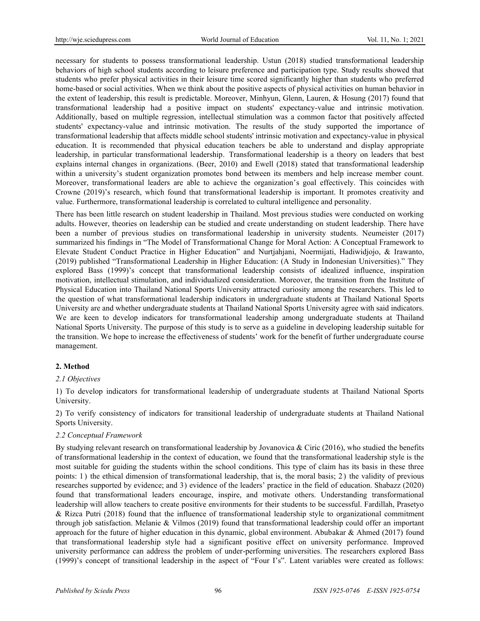necessary for students to possess transformational leadership. Ustun (2018) studied transformational leadership behaviors of high school students according to leisure preference and participation type. Study results showed that students who prefer physical activities in their leisure time scored significantly higher than students who preferred home-based or social activities. When we think about the positive aspects of physical activities on human behavior in the extent of leadership, this result is predictable. Moreover, Minhyun, Glenn, Lauren, & Hosung (2017) found that transformational leadership had a positive impact on students' expectancy-value and intrinsic motivation. Additionally, based on multiple regression, intellectual stimulation was a common factor that positively affected students' expectancy-value and intrinsic motivation. The results of the study supported the importance of transformational leadership that affects middle school students' intrinsic motivation and expectancy-value in physical education. It is recommended that physical education teachers be able to understand and display appropriate leadership, in particular transformational leadership. Transformational leadership is a theory on leaders that best explains internal changes in organizations. (Beer, 2010) and Ewell (2018) stated that transformational leadership within a university's student organization promotes bond between its members and help increase member count. Moreover, transformational leaders are able to achieve the organization's goal effectively. This coincides with Crowne (2019)'s research, which found that transformational leadership is important. It promotes creativity and value. Furthermore, transformational leadership is correlated to cultural intelligence and personality.

There has been little research on student leadership in Thailand. Most previous studies were conducted on working adults. However, theories on leadership can be studied and create understanding on student leadership. There have been a number of previous studies on transformational leadership in university students. Neumeister (2017) summarized his findings in "The Model of Transformational Change for Moral Action: A Conceptual Framework to Elevate Student Conduct Practice in Higher Education" and Nurtjahjani, Noermijati, Hadiwidjojo, & Irawanto, (2019) published "Transformational Leadership in Higher Education: (A Study in Indonesian Universities)." They explored Bass (1999)'s concept that transformational leadership consists of idealized influence, inspiration motivation, intellectual stimulation, and individualized consideration. Moreover, the transition from the Institute of Physical Education into Thailand National Sports University attracted curiosity among the researchers. This led to the question of what transformational leadership indicators in undergraduate students at Thailand National Sports University are and whether undergraduate students at Thailand National Sports University agree with said indicators. We are keen to develop indicators for transformational leadership among undergraduate students at Thailand National Sports University. The purpose of this study is to serve as a guideline in developing leadership suitable for the transition. We hope to increase the effectiveness of students' work for the benefit of further undergraduate course management.

# **2. Method**

# *2.1 Objectives*

1) To develop indicators for transformational leadership of undergraduate students at Thailand National Sports University.

2) To verify consistency of indicators for transitional leadership of undergraduate students at Thailand National Sports University.

# *2.2 Conceptual Framework*

By studying relevant research on transformational leadership by Jovanovica & Ciric (2016), who studied the benefits of transformational leadership in the context of education, we found that the transformational leadership style is the most suitable for guiding the students within the school conditions. This type of claim has its basis in these three points: 1 ) the ethical dimension of transformational leadership, that is, the moral basis; 2 ) the validity of previous researches supported by evidence; and 3) evidence of the leaders' practice in the field of education. Shabazz (2020) found that transformational leaders encourage, inspire, and motivate others. Understanding transformational leadership will allow teachers to create positive environments for their students to be successful. Fardillah, Prasetyo & Rizca Putri (2018) found that the influence of transformational leadership style to organizational commitment through job satisfaction. Melanie & Vilmos (2019) found that transformational leadership could offer an important approach for the future of higher education in this dynamic, global environment. Abubakar & Ahmed (2017) found that transformational leadership style had a significant positive effect on university performance. Improved university performance can address the problem of under-performing universities. The researchers explored Bass (1999)'s concept of transitional leadership in the aspect of "Four I's". Latent variables were created as follows: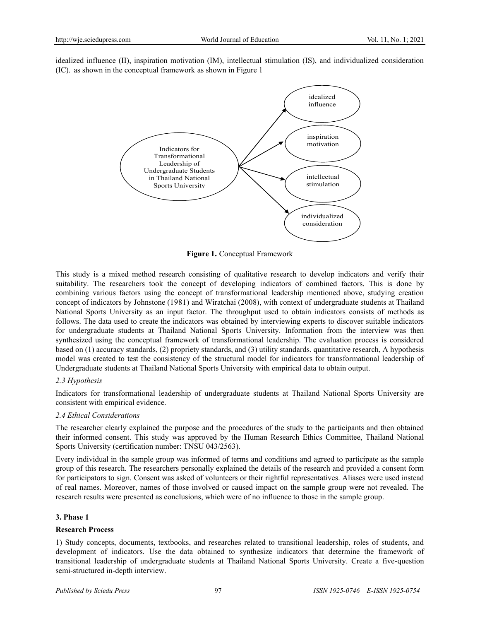idealized influence (II), inspiration motivation (IM), intellectual stimulation (IS), and individualized consideration (IC). as shown in the conceptual framework as shown in Figure 1



**Figure 1.** Conceptual Framework

This study is a mixed method research consisting of qualitative research to develop indicators and verify their suitability. The researchers took the concept of developing indicators of combined factors. This is done by combining various factors using the concept of transformational leadership mentioned above, studying creation concept of indicators by Johnstone (1981) and Wiratchai (2008), with context of undergraduate students at Thailand National Sports University as an input factor. The throughput used to obtain indicators consists of methods as follows. The data used to create the indicators was obtained by interviewing experts to discover suitable indicators for undergraduate students at Thailand National Sports University. Information from the interview was then synthesized using the conceptual framework of transformational leadership. The evaluation process is considered based on (1) accuracy standards, (2) propriety standards, and (3) utility standards. quantitative research, A hypothesis model was created to test the consistency of the structural model for indicators for transformational leadership of Undergraduate students at Thailand National Sports University with empirical data to obtain output.

# *2.3 Hypothesis*

Indicators for transformational leadership of undergraduate students at Thailand National Sports University are consistent with empirical evidence.

# *2.4 Ethical Considerations*

The researcher clearly explained the purpose and the procedures of the study to the participants and then obtained their informed consent. This study was approved by the Human Research Ethics Committee, Thailand National Sports University (certification number: TNSU 043/2563).

Every individual in the sample group was informed of terms and conditions and agreed to participate as the sample group of this research. The researchers personally explained the details of the research and provided a consent form for participators to sign. Consent was asked of volunteers or their rightful representatives. Aliases were used instead of real names. Moreover, names of those involved or caused impact on the sample group were not revealed. The research results were presented as conclusions, which were of no influence to those in the sample group.

# **3. Phase 1**

# **Research Process**

1) Study concepts, documents, textbooks, and researches related to transitional leadership, roles of students, and development of indicators. Use the data obtained to synthesize indicators that determine the framework of transitional leadership of undergraduate students at Thailand National Sports University. Create a five-question semi-structured in-depth interview.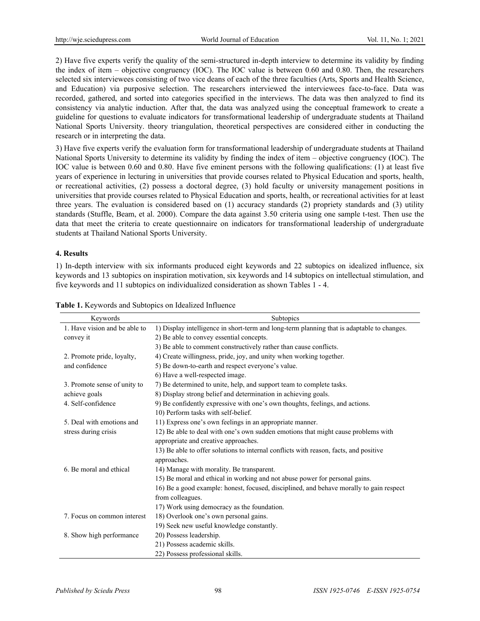2) Have five experts verify the quality of the semi-structured in-depth interview to determine its validity by finding the index of item – objective congruency (IOC). The IOC value is between 0.60 and 0.80. Then, the researchers selected six interviewees consisting of two vice deans of each of the three faculties (Arts, Sports and Health Science, and Education) via purposive selection. The researchers interviewed the interviewees face-to-face. Data was recorded, gathered, and sorted into categories specified in the interviews. The data was then analyzed to find its consistency via analytic induction. After that, the data was analyzed using the conceptual framework to create a guideline for questions to evaluate indicators for transformational leadership of undergraduate students at Thailand National Sports University. theory triangulation, theoretical perspectives are considered either in conducting the research or in interpreting the data.

3) Have five experts verify the evaluation form for transformational leadership of undergraduate students at Thailand National Sports University to determine its validity by finding the index of item – objective congruency (IOC). The IOC value is between 0.60 and 0.80. Have five eminent persons with the following qualifications: (1) at least five years of experience in lecturing in universities that provide courses related to Physical Education and sports, health, or recreational activities, (2) possess a doctoral degree, (3) hold faculty or university management positions in universities that provide courses related to Physical Education and sports, health, or recreational activities for at least three years. The evaluation is considered based on (1) accuracy standards (2) propriety standards and (3) utility standards (Stuffle, Beam, et al. 2000). Compare the data against 3.50 criteria using one sample t-test. Then use the data that meet the criteria to create questionnaire on indicators for transformational leadership of undergraduate students at Thailand National Sports University.

# **4. Results**

1) In-depth interview with six informants produced eight keywords and 22 subtopics on idealized influence, six keywords and 13 subtopics on inspiration motivation, six keywords and 14 subtopics on intellectual stimulation, and five keywords and 11 subtopics on individualized consideration as shown Tables 1 - 4.

| Keywords                      | Subtopics                                                                                  |
|-------------------------------|--------------------------------------------------------------------------------------------|
| 1. Have vision and be able to | 1) Display intelligence in short-term and long-term planning that is adaptable to changes. |
| convey it                     | 2) Be able to convey essential concepts.                                                   |
|                               | 3) Be able to comment constructively rather than cause conflicts.                          |
| 2. Promote pride, loyalty,    | 4) Create willingness, pride, joy, and unity when working together.                        |
| and confidence                | 5) Be down-to-earth and respect everyone's value.                                          |
|                               | 6) Have a well-respected image.                                                            |
| 3. Promote sense of unity to  | 7) Be determined to unite, help, and support team to complete tasks.                       |
| achieve goals                 | 8) Display strong belief and determination in achieving goals.                             |
| 4. Self-confidence            | 9) Be confidently expressive with one's own thoughts, feelings, and actions.               |
|                               | 10) Perform tasks with self-belief.                                                        |
| 5. Deal with emotions and     | 11) Express one's own feelings in an appropriate manner.                                   |
| stress during crisis          | 12) Be able to deal with one's own sudden emotions that might cause problems with          |
|                               | appropriate and creative approaches.                                                       |
|                               | 13) Be able to offer solutions to internal conflicts with reason, facts, and positive      |
|                               | approaches.                                                                                |
| 6. Be moral and ethical       | 14) Manage with morality. Be transparent.                                                  |
|                               | 15) Be moral and ethical in working and not abuse power for personal gains.                |
|                               | 16) Be a good example: honest, focused, disciplined, and behave morally to gain respect    |
|                               | from colleagues.                                                                           |
|                               | 17) Work using democracy as the foundation.                                                |
| 7. Focus on common interest   | 18) Overlook one's own personal gains.                                                     |
|                               | 19) Seek new useful knowledge constantly.                                                  |
| 8. Show high performance      | 20) Possess leadership.                                                                    |
|                               | 21) Possess academic skills.                                                               |
|                               | 22) Possess professional skills.                                                           |

**Table 1.** Keywords and Subtopics on Idealized Influence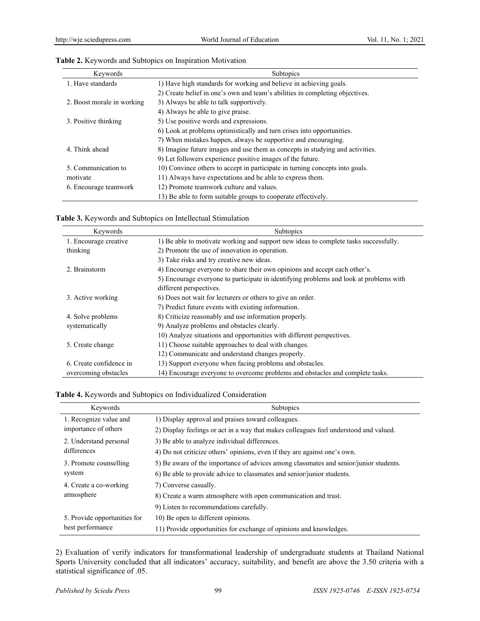| Keywords                   | Subtopics                                                                     |
|----------------------------|-------------------------------------------------------------------------------|
| 1. Have standards          | 1) Have high standards for working and believe in achieving goals.            |
|                            | 2) Create belief in one's own and team's abilities in completing objectives.  |
| 2. Boost morale in working | 3) Always be able to talk supportively.                                       |
|                            | 4) Always be able to give praise.                                             |
| 3. Positive thinking       | 5) Use positive words and expressions.                                        |
|                            | 6) Look at problems optimistically and turn crises into opportunities.        |
|                            | 7) When mistakes happen, always be supportive and encouraging.                |
| 4. Think ahead             | 8) Imagine future images and use them as concepts in studying and activities. |
|                            | 9) Let followers experience positive images of the future.                    |
| 5. Communication to        | 10) Convince others to accept in participate in turning concepts into goals.  |
| motivate                   | 11) Always have expectations and be able to express them.                     |
| 6. Encourage teamwork      | 12) Promote teamwork culture and values.                                      |
|                            | 13) Be able to form suitable groups to cooperate effectively.                 |

| Keywords                | Subtopics                                                                              |
|-------------------------|----------------------------------------------------------------------------------------|
| 1. Encourage creative   | 1) Be able to motivate working and support new ideas to complete tasks successfully.   |
| thinking                | 2) Promote the use of innovation in operation.                                         |
|                         | 3) Take risks and try creative new ideas.                                              |
| 2. Brainstorm           | 4) Encourage everyone to share their own opinions and accept each other's.             |
|                         | 5) Encourage everyone to participate in identifying problems and look at problems with |
|                         | different perspectives.                                                                |
| 3. Active working       | 6) Does not wait for lecturers or others to give an order.                             |
|                         | 7) Predict future events with existing information.                                    |
| 4. Solve problems       | 8) Criticize reasonably and use information properly.                                  |
| systematically          | 9) Analyze problems and obstacles clearly.                                             |
|                         | 10) Analyze situations and opportunities with different perspectives.                  |
| 5. Create change        | 11) Choose suitable approaches to deal with changes.                                   |
|                         | 12) Communicate and understand changes properly.                                       |
| 6. Create confidence in | 13) Support everyone when facing problems and obstacles.                               |
| overcoming obstacles    | 14) Encourage everyone to overcome problems and obstacles and complete tasks.          |

#### **Table 4.** Keywords and Subtopics on Individualized Consideration

| Keywords                                         | Subtopics                                                                             |
|--------------------------------------------------|---------------------------------------------------------------------------------------|
| 1. Recognize value and                           | 1) Display approval and praises toward colleagues.                                    |
| importance of others                             | 2) Display feelings or act in a way that makes colleagues feel understood and valued. |
| 2. Understand personal                           | 3) Be able to analyze individual differences.                                         |
| differences                                      | 4) Do not criticize others' opinions, even if they are against one's own.             |
| 3. Promote counselling                           | 5) Be aware of the importance of advices among classmates and senior/junior students. |
| system                                           | 6) Be able to provide advice to classmates and senior/junior students.                |
| 4. Create a co-working                           | 7) Converse casually.                                                                 |
| atmosphere                                       | 8) Create a warm atmosphere with open communication and trust.                        |
|                                                  | 9) Listen to recommendations carefully.                                               |
| 5. Provide opportunities for<br>best performance | 10) Be open to different opinions.                                                    |
|                                                  | 11) Provide opportunities for exchange of opinions and knowledges.                    |

2) Evaluation of verify indicators for transformational leadership of undergraduate students at Thailand National Sports University concluded that all indicators' accuracy, suitability, and benefit are above the 3.50 criteria with a statistical significance of .05.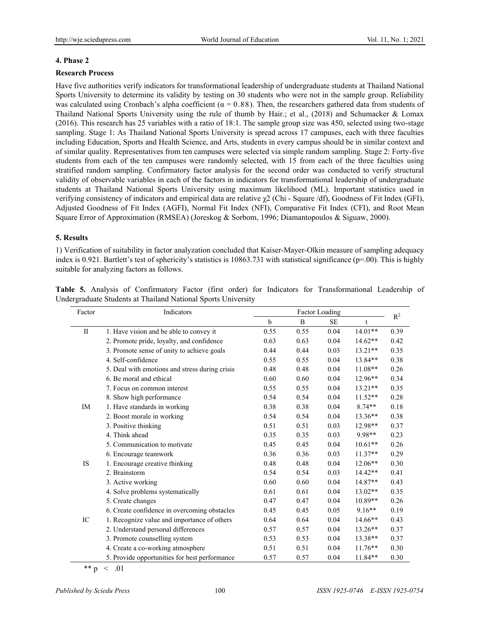#### **4. Phase 2**

#### **Research Process**

Have five authorities verify indicators for transformational leadership of undergraduate students at Thailand National Sports University to determine its validity by testing on 30 students who were not in the sample group. Reliability was calculated using Cronbach's alpha coefficient ( $\alpha = 0.88$ ). Then, the researchers gathered data from students of Thailand National Sports University using the rule of thumb by Hair.; et al., (2018) and Schumacker & Lomax (2016). This research has 25 variables with a ratio of 18:1. The sample group size was 450, selected using two-stage sampling. Stage 1: As Thailand National Sports University is spread across 17 campuses, each with three faculties including Education, Sports and Health Science, and Arts, students in every campus should be in similar context and of similar quality. Representatives from ten campuses were selected via simple random sampling. Stage 2: Forty-five students from each of the ten campuses were randomly selected, with 15 from each of the three faculties using stratified random sampling. Confirmatory factor analysis for the second order was conducted to verify structural validity of observable variables in each of the factors in indicators for transformational leadership of undergraduate students at Thailand National Sports University using maximum likelihood (ML). Important statistics used in verifying consistency of indicators and empirical data are relative χ2 (Chi - Square /df), Goodness of Fit Index (GFI), Adjusted Goodness of Fit Index (AGFI), Normal Fit Index (NFI), Comparative Fit Index (CFI), and Root Mean Square Error of Approximation (RMSEA) (Joreskog & Sorbom, 1996; Diamantopoulos & Siguaw, 2000).

#### **5. Results**

1) Verification of suitability in factor analyzation concluded that Kaiser-Mayer-Olkin measure of sampling adequacy index is 0.921. Bartlett's test of sphericity's statistics is  $10863.731$  with statistical significance ( $p=00$ ). This is highly suitable for analyzing factors as follows.

| Factor       | Indicators                                     | Factor Loading |      |           |           |       |
|--------------|------------------------------------------------|----------------|------|-----------|-----------|-------|
|              |                                                | b              | B    | <b>SE</b> | t         | $R^2$ |
| $\mathbf{I}$ | 1. Have vision and be able to convey it        | 0.55           | 0.55 | 0.04      | $14.01**$ | 0.39  |
|              | 2. Promote pride, loyalty, and confidence      | 0.63           | 0.63 | 0.04      | $14.62**$ | 0.42  |
|              | 3. Promote sense of unity to achieve goals     | 0.44           | 0.44 | 0.03      | $13.21**$ | 0.35  |
|              | 4. Self-confidence                             | 0.55           | 0.55 | 0.04      | $13.84**$ | 0.38  |
|              | 5. Deal with emotions and stress during crisis | 0.48           | 0.48 | 0.04      | $11.08**$ | 0.26  |
|              | 6. Be moral and ethical                        | 0.60           | 0.60 | 0.04      | $12.96**$ | 0.34  |
|              | 7. Focus on common interest                    | 0.55           | 0.55 | 0.04      | $13.21**$ | 0.35  |
|              | 8. Show high performance                       | 0.54           | 0.54 | 0.04      | $11.52**$ | 0.28  |
| IM           | 1. Have standards in working                   | 0.38           | 0.38 | 0.04      | $8.74**$  | 0.18  |
|              | 2. Boost morale in working                     | 0.54           | 0.54 | 0.04      | $13.36**$ | 0.38  |
|              | 3. Positive thinking                           | 0.51           | 0.51 | 0.03      | $12.98**$ | 0.37  |
|              | 4. Think ahead                                 | 0.35           | 0.35 | 0.03      | 9.98**    | 0.23  |
|              | 5. Communication to motivate                   | 0.45           | 0.45 | 0.04      | $10.61**$ | 0.26  |
|              | 6. Encourage teamwork                          | 0.36           | 0.36 | 0.03      | $11.37**$ | 0.29  |
| <b>IS</b>    | 1. Encourage creative thinking                 | 0.48           | 0.48 | 0.04      | $12.06**$ | 0.30  |
|              | 2. Brainstorm                                  | 0.54           | 0.54 | 0.03      | $14.42**$ | 0.41  |
|              | 3. Active working                              | 0.60           | 0.60 | 0.04      | 14.87**   | 0.43  |
|              | 4. Solve problems systematically               | 0.61           | 0.61 | 0.04      | $13.02**$ | 0.35  |
|              | 5. Create changes                              | 0.47           | 0.47 | 0.04      | $10.89**$ | 0.26  |
|              | 6. Create confidence in overcoming obstacles   | 0.45           | 0.45 | 0.05      | $9.16**$  | 0.19  |
| IC           | 1. Recognize value and importance of others    | 0.64           | 0.64 | 0.04      | $14.66**$ | 0.43  |
|              | 2. Understand personal differences             | 0.57           | 0.57 | 0.04      | $13.26**$ | 0.37  |
|              | 3. Promote counselling system                  | 0.53           | 0.53 | 0.04      | 13.38**   | 0.37  |
|              | 4. Create a co-working atmosphere              | 0.51           | 0.51 | 0.04      | $11.76**$ | 0.30  |
|              | 5. Provide opportunities for best performance  | 0.57           | 0.57 | 0.04      | $11.84**$ | 0.30  |

**Table 5.** Analysis of Confirmatory Factor (first order) for Indicators for Transformational Leadership of Undergraduate Students at Thailand National Sports University

 $** p \; < \; .01$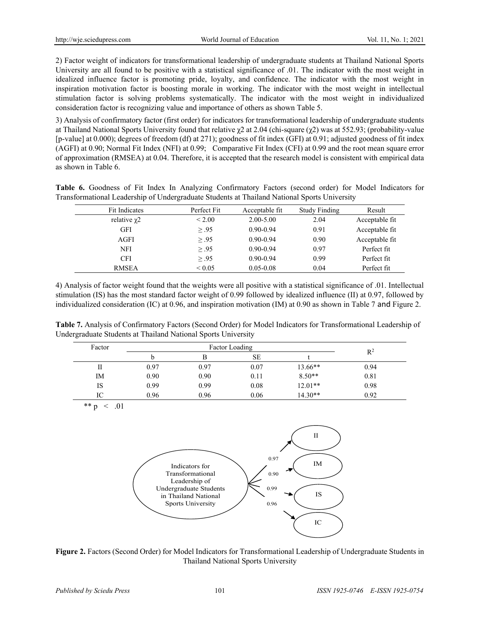2) Factor weight of indicators for transformational leadership of undergraduate students at Thailand National Sports University are all found to be positive with a statistical significance of .01. The indicator with the most weight in idealized influence factor is promoting pride, loyalty, and confidence. The indicator with the most weight in inspiration motivation factor is boosting morale in working. The indicator with the most weight in intellectual stimulation factor is solving problems systematically. The indicator with the most weight in individualized consideration factor is recognizing value and importance of others as shown Table 5.

3) Analysis of confirmatory factor (first order) for indicators for transformational leadership of undergraduate students at Thailand National Sports University found that relative  $\chi$ 2 at 2.04 (chi-square ( $\chi$ 2) was at 552.93; (probability-value [p-value] at 0.000); degrees of freedom (df) at 271); goodness of fit index (GFI) at 0.91; adjusted goodness of fit index (AGFI) at 0.90; Normal Fit Index (NFI) at 0.99; Comparative Fit Index (CFI) at 0.99 and the root mean square error of approximation (RMSEA) at 0.04. Therefore, it is accepted that the research model is consistent with empirical data as shown in Table 6.

**Table 6.** Goodness of Fit Index In Analyzing Confirmatory Factors (second order) for Model Indicators for Transformational Leadership of Undergraduate Students at Thailand National Sports University

| Fit Indicates     | Perfect Fit      | Acceptable fit | <b>Study Finding</b> | Result         |
|-------------------|------------------|----------------|----------------------|----------------|
| relative $\chi$ 2 | ${}_{\leq 2.00}$ | $2.00 - 5.00$  | 2.04                 | Acceptable fit |
| <b>GFI</b>        | $\geq .95$       | $0.90 - 0.94$  | 0.91                 | Acceptable fit |
| <b>AGFI</b>       | $\geq .95$       | $0.90 - 0.94$  | 0.90                 | Acceptable fit |
| <b>NFI</b>        | > .95            | $0.90 - 0.94$  | 0.97                 | Perfect fit    |
| <b>CFI</b>        | $\geq .95$       | $0.90 - 0.94$  | 0.99                 | Perfect fit    |
| <b>RMSEA</b>      | ${}_{\leq 0.05}$ | $0.05 - 0.08$  | 0.04                 | Perfect fit    |

4) Analysis of factor weight found that the weights were all positive with a statistical significance of .01. Intellectual stimulation (IS) has the most standard factor weight of 0.99 followed by idealized influence (II) at 0.97, followed by individualized consideration (IC) at 0.96, and inspiration motivation (IM) at 0.90 as shown in Table 7 and Figure 2.

**Table 7.** Analysis of Confirmatory Factors (Second Order) for Model Indicators for Transformational Leadership of Undergraduate Students at Thailand National Sports University

| Factor | Factor Loading |      |           |           | $R^2$ |
|--------|----------------|------|-----------|-----------|-------|
|        |                |      | <b>SE</b> |           |       |
| П      | 0.97           | 0.97 | 0.07      | 13.66**   | 0.94  |
| IM     | 0.90           | 0.90 | 0.11      | $8.50**$  | 0.81  |
| IS     | 0.99           | 0.99 | 0.08      | $12.01**$ | 0.98  |
| IC     | 0.96           | 0.96 | 0.06      | $14.30**$ | 0.92  |

\*\* p  $\leq .01$ 



Figure 2. Factors (Second Order) for Model Indicators for Transformational Leadership of Undergraduate Students in Thailand National Sports University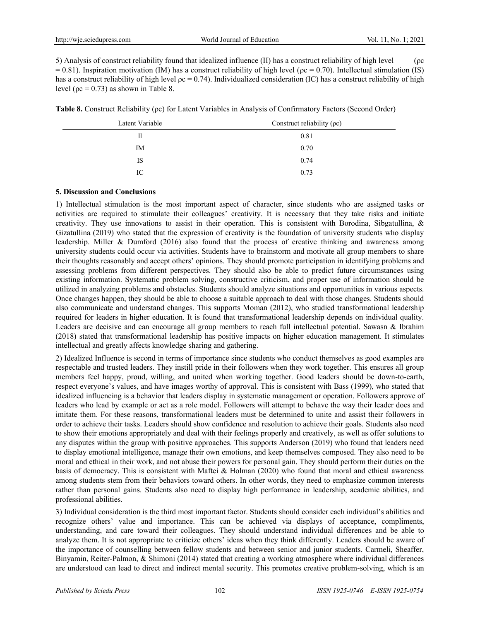5) Analysis of construct reliability found that idealized influence (II) has a construct reliability of high level (ρc  $= 0.81$ ). Inspiration motivation (IM) has a construct reliability of high level ( $\alpha$  = 0.70). Intellectual stimulation (IS) has a construct reliability of high level  $\alpha = 0.74$ ). Individualized consideration (IC) has a construct reliability of high level ( $\alpha$  = 0.73) as shown in Table 8.

| $\sim$ $\sim$ $\sim$ |                                  |
|----------------------|----------------------------------|
| Latent Variable      | Construct reliability $(\rho c)$ |
| 11                   | 0 8.                             |

**Table 8.** Construct Reliability (ρc) for Latent Variables in Analysis of Confirmatory Factors (Second Order)

| $E$ atterne rainaoite |      |
|-----------------------|------|
| п                     | 0.81 |
| IM                    | 0.70 |
| IS                    | 0.74 |
| IC                    | 0.73 |

# **5. Discussion and Conclusions**

1) Intellectual stimulation is the most important aspect of character, since students who are assigned tasks or activities are required to stimulate their colleagues' creativity. It is necessary that they take risks and initiate creativity. They use innovations to assist in their operation. This is consistent with Borodina, Sibgatullina, & Gizatullina (2019) who stated that the expression of creativity is the foundation of university students who display leadership. Miller & Dumford (2016) also found that the process of creative thinking and awareness among university students could occur via activities. Students have to brainstorm and motivate all group members to share their thoughts reasonably and accept others' opinions. They should promote participation in identifying problems and assessing problems from different perspectives. They should also be able to predict future circumstances using existing information. Systematic problem solving, constructive criticism, and proper use of information should be utilized in analyzing problems and obstacles. Students should analyze situations and opportunities in various aspects. Once changes happen, they should be able to choose a suitable approach to deal with those changes. Students should also communicate and understand changes. This supports Moman (2012), who studied transformational leadership required for leaders in higher education. It is found that transformational leadership depends on individual quality. Leaders are decisive and can encourage all group members to reach full intellectual potential. Sawasn & Ibrahim (2018) stated that transformational leadership has positive impacts on higher education management. It stimulates intellectual and greatly affects knowledge sharing and gathering.

2) Idealized Influence is second in terms of importance since students who conduct themselves as good examples are respectable and trusted leaders. They instill pride in their followers when they work together. This ensures all group members feel happy, proud, willing, and united when working together. Good leaders should be down-to-earth, respect everyone's values, and have images worthy of approval. This is consistent with Bass (1999), who stated that idealized influencing is a behavior that leaders display in systematic management or operation. Followers approve of leaders who lead by example or act as a role model. Followers will attempt to behave the way their leader does and imitate them. For these reasons, transformational leaders must be determined to unite and assist their followers in order to achieve their tasks. Leaders should show confidence and resolution to achieve their goals. Students also need to show their emotions appropriately and deal with their feelings properly and creatively, as well as offer solutions to any disputes within the group with positive approaches. This supports Anderson (2019) who found that leaders need to display emotional intelligence, manage their own emotions, and keep themselves composed. They also need to be moral and ethical in their work, and not abuse their powers for personal gain. They should perform their duties on the basis of democracy. This is consistent with Maftei & Holman (2020) who found that moral and ethical awareness among students stem from their behaviors toward others. In other words, they need to emphasize common interests rather than personal gains. Students also need to display high performance in leadership, academic abilities, and professional abilities.

3) Individual consideration is the third most important factor. Students should consider each individual's abilities and recognize others' value and importance. This can be achieved via displays of acceptance, compliments, understanding, and care toward their colleagues. They should understand individual differences and be able to analyze them. It is not appropriate to criticize others' ideas when they think differently. Leaders should be aware of the importance of counselling between fellow students and between senior and junior students. Carmeli, Sheaffer, Binyamin, Reiter-Palmon, & Shimoni (2014) stated that creating a working atmosphere where individual differences are understood can lead to direct and indirect mental security. This promotes creative problem-solving, which is an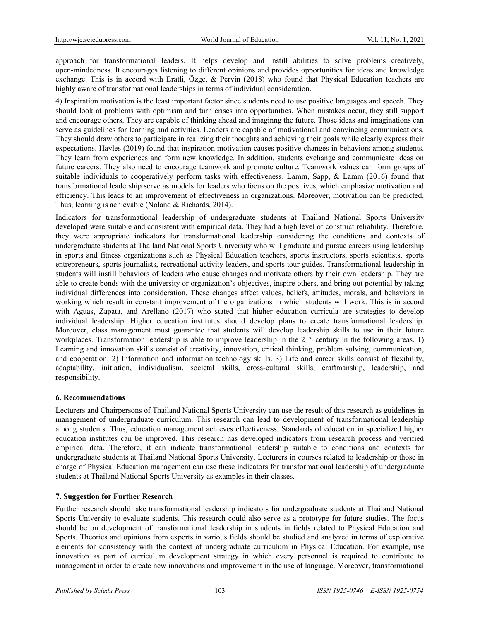approach for transformational leaders. It helps develop and instill abilities to solve problems creatively, open-mindedness. It encourages listening to different opinions and provides opportunities for ideas and knowledge exchange. This is in accord with Eratli, Özge, & Pervin (2018) who found that Physical Education teachers are highly aware of transformational leaderships in terms of individual consideration.

4) Inspiration motivation is the least important factor since students need to use positive languages and speech. They should look at problems with optimism and turn crises into opportunities. When mistakes occur, they still support and encourage others. They are capable of thinking ahead and imaginng the future. Those ideas and imaginations can serve as guidelines for learning and activities. Leaders are capable of motivational and convincing communications. They should draw others to participate in realizing their thoughts and achieving their goals while clearly express their expectations. Hayles (2019) found that inspiration motivation causes positive changes in behaviors among students. They learn from experiences and form new knowledge. In addition, students exchange and communicate ideas on future careers. They also need to encourage teamwork and promote culture. Teamwork values can form groups of suitable individuals to cooperatively perform tasks with effectiveness. Lamm, Sapp, & Lamm (2016) found that transformational leadership serve as models for leaders who focus on the positives, which emphasize motivation and efficiency. This leads to an improvement of effectiveness in organizations. Moreover, motivation can be predicted. Thus, learning is achievable (Noland & Richards, 2014).

Indicators for transformational leadership of undergraduate students at Thailand National Sports University developed were suitable and consistent with empirical data. They had a high level of construct reliability. Therefore, they were appropriate indicators for transformational leadership considering the conditions and contexts of undergraduate students at Thailand National Sports University who will graduate and pursue careers using leadership in sports and fitness organizations such as Physical Education teachers, sports instructors, sports scientists, sports entrepreneurs, sports journalists, recreational activity leaders, and sports tour guides. Transformational leadership in students will instill behaviors of leaders who cause changes and motivate others by their own leadership. They are able to create bonds with the university or organization's objectives, inspire others, and bring out potential by taking individual differences into consideration. These changes affect values, beliefs, attitudes, morals, and behaviors in working which result in constant improvement of the organizations in which students will work. This is in accord with Aguas, Zapata, and Arellano (2017) who stated that higher education curricula are strategies to develop individual leadership. Higher education institutes should develop plans to create transformational leadership. Moreover, class management must guarantee that students will develop leadership skills to use in their future workplaces. Transformation leadership is able to improve leadership in the 21<sup>st</sup> century in the following areas. 1) Learning and innovation skills consist of creativity, innovation, critical thinking, problem solving, communication, and cooperation. 2) Information and information technology skills. 3) Life and career skills consist of flexibility, adaptability, initiation, individualism, societal skills, cross-cultural skills, craftmanship, leadership, and responsibility.

# **6. Recommendations**

Lecturers and Chairpersons of Thailand National Sports University can use the result of this research as guidelines in management of undergraduate curriculum. This research can lead to development of transformational leadership among students. Thus, education management achieves effectiveness. Standards of education in specialized higher education institutes can be improved. This research has developed indicators from research process and verified empirical data. Therefore, it can indicate transformational leadership suitable to conditions and contexts for undergraduate students at Thailand National Sports University. Lecturers in courses related to leadership or those in charge of Physical Education management can use these indicators for transformational leadership of undergraduate students at Thailand National Sports University as examples in their classes.

# **7. Suggestion for Further Research**

Further research should take transformational leadership indicators for undergraduate students at Thailand National Sports University to evaluate students. This research could also serve as a prototype for future studies. The focus should be on development of transformational leadership in students in fields related to Physical Education and Sports. Theories and opinions from experts in various fields should be studied and analyzed in terms of explorative elements for consistency with the context of undergraduate curriculum in Physical Education. For example, use innovation as part of curriculum development strategy in which every personnel is required to contribute to management in order to create new innovations and improvement in the use of language. Moreover, transformational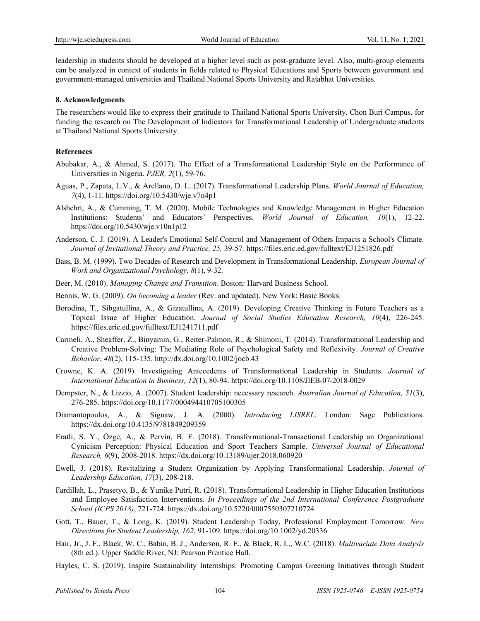leadership in students should be developed at a higher level such as post-graduate level. Also, multi-group elements can be analyzed in context of students in fields related to Physical Educations and Sports between government and government-managed universities and Thailand National Sports University and Rajabhat Universities.

#### **8. Acknowledgments**

The researchers would like to express their gratitude to Thailand National Sports University, Chon Buri Campus, for funding the research on The Development of Indicators for Transformational Leadership of Undergraduate students at Thailand National Sports University.

#### **References**

- Abubakar, A., & Ahmed, S. (2017). The Effect of a Transformational Leadership Style on the Performance of Universities in Nigeria. *PJER, 2*(1), 59-76.
- Aguas, P., Zapata, L.V., & Arellano, D. L. (2017). Transformational Leadership Plans. *World Journal of Education, 7*(4), 1-11. https://doi.org/10.5430/wje.v7n4p1
- Alshehri, A., & Cumming, T. M. (2020). Mobile Technologies and Knowledge Management in Higher Education Institutions: Students' and Educators' Perspectives. *World Journal of Education, 10*(1), 12-22. https://doi.org/10.5430/wje.v10n1p12
- Anderson, C. J. (2019). A Leader's Emotional Self-Control and Management of Others Impacts a School's Climate. *Journal of Invitational Theory and Practice, 25,* 39-57*.* <https://files.eric.ed.gov/fulltext/EJ1251826.pdf>
- Bass, B. M. (1999). Two Decades of Research and Development in Transformational Leadership. *European Journal of Work and Organizational Psychology, 8*(1), 9-32.
- Beer, M. (2010). *Managing Change and Transition*. Boston: Harvard Business School.
- Bennis, W. G. (2009). *On becoming a leader* (Rev. and updated). New York: Basic Books.
- Borodina, T., Sibgatullina, A., & Gizatullina, A. (2019). Developing Creative Thinking in Future Teachers as a Topical Issue of Higher Education. *Journal of Social Studies Education Research, 10*(4), 226-245. <https://files.eric.ed.gov/fulltext/EJ1241711.pdf>
- Carmeli, A., Sheaffer, Z., Binyamin, G., Reiter-Palmon, R., & Shimoni, T. (2014). Transformational Leadership and Creative Problem-Solving: The Mediating Role of Psychological Safety and Reflexivity. *Journal of Creative Behavior*, *48*(2), 115-135. [http://dx.doi.org/](http://dx.doi.org/10.1002/jocb.43)10.1002/jocb.43
- Crowne, K. A. (2019). Investigating Antecedents of Transformational Leadership in Students. *Journal of International Education in Business, 12*(1), 80-94. https://doi.org/10.1108/JIEB-07-2018-0029
- Dempster, N., & Lizzio, A. (2007). Student leadership: necessary research. *Australian Journal of Education, 51*(3), 276-285. https://doi.org/10.1177/000494410705100305
- Diamantopoulos, A., & Siguaw, J. A. (2000). *Introducing LISREL*. London: Sage Publications. <https://dx.doi.org/10.4135/9781849209359>
- Eratli, S. Y., Özge, A., & Pervin, B. F. (2018). Transformational-Transactional Leadership an Organizational Cynicism Perception: Physical Education and Sport Teachers Sample. *Universal Journal of Educational Research, 6*(9), 2008-2018. https://dx.doi.org/10.13189/ujer.2018.060920
- Ewell, J. (2018). Revitalizing a Student Organization by Applying Transformational Leadership. *Journal of Leadership Education, 17*(3), 208-218.
- Fardillah, L., Prasetyo, B., & Yunike Putri, R. (2018). Transformational Leadership in Higher Education Institutions and Employee Satisfaction Interventions. *In Proceedings of the 2nd International Conference Postgraduate School (ICPS 2018)*, 721-724. https://dx.doi.org/10.5220/0007550307210724
- Gott, T., Bauer, T., & Long, K. (2019). Student Leadership Today, Professional Employment Tomorrow. *New Directions for Student Leadership, 162*, 91-109. https://doi.org/10.1002/yd.20336
- Hair, Jr., J. F., Black, W. C., Babin, B. J., Anderson, R. E., & Black, R. L., W.C. (2018). *Multivariate Data Analysis*  (8th ed.). Upper Saddle River, NJ: Pearson Prentice Hall.
- Hayles, C. S. (2019). Inspire Sustainability Internships: Promoting Campus Greening Initiatives through Student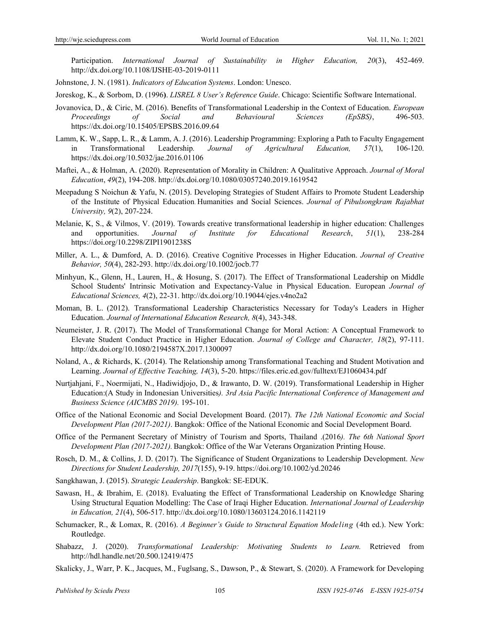Participation. *International Journal of Sustainability in Higher Education, 20*(3), 452-469. http://dx.doi.org/10.1108/IJSHE-03-2019-0111

- Johnstone, J. N. (1981). *Indicators of Education Systems*. London: Unesco.
- Joreskog, K., & Sorbom, D. (1996**)**. *LISREL 8 User's Reference Guide*. Chicago: Scientific Software International.
- Jovanovica, D., & Ciric, M. (2016). Benefits of Transformational Leadership in the Context of Education. *European Proceedings of Social and Behavioural Sciences (EpSBS)*, 496-503. https://dx.doi.org/10.15405/EPSBS.2016.09.64
- Lamm, K. W., Sapp, L. R., & Lamm, A. J. (2016). Leadership Programming: Exploring a Path to Faculty Engagement in Transformational Leadership*. Journal of Agricultural Education, 57*(1), 106-120. https://dx.doi.org/10.5032/jae.2016.01106
- Maftei, A., & Holman, A. (2020). Representation of Morality in Children: A Qualitative Approach. *Journal of Moral Education*, *49*(2), 194-208. http://dx.doi.org/[10.1080/03057240.2019.1619542](http://dx.doi.org/10.1080/03057240.2019.1619542)
- Meepadung S Noichun & Yafu, N. (2015). Developing Strategies of Student Affairs to Promote Student Leadership of the Institute of Physical Education. Humanities and Social Sciences. *Journal of Pibulsongkram Rajabhat University, 9*(2), 207-224.
- Melanie, K, S., & Vilmos, V. (2019). Towards creative transformational leadership in higher education: Challenges and opportunities. *Journal of Institute for Educational Research*, *51*(1), 238-284 https://doi.org/10.2298/ZIPI1901238S
- Miller, A. L., & Dumford, A. D. (2016). Creative Cognitive Processes in Higher Education. *Journal of Creative Behavior, 50*(4), 282-293. <http://dx.doi.org/10.1002/jocb.77>
- Minhyun, K., Glenn, H., Lauren, H., & Hosung, S. (2017). The Effect of Transformational Leadership on Middle School Students' Intrinsic Motivation and Expectancy-Value in Physical Education. European *Journal of Educational Sciences, 4*(2), 22-31. http://dx.doi.org/10.19044/ejes.v4no2a2
- Moman, B. L. (2012). Transformational Leadership Characteristics Necessary for Today's Leaders in Higher Education. *Journal of International Education Research, 8*(4), 343-348.
- Neumeister, J. R. (2017). The Model of Transformational Change for Moral Action: A Conceptual Framework to Elevate Student Conduct Practice in Higher Education. *Journal of College and Character, 18*(2), 97-111. http://dx.doi.org/10.1080/2194587X.2017.1300097
- Noland, A., & Richards, K. (2014). The Relationship among Transformational Teaching and Student Motivation and Learning. *Journal of Effective Teaching, 14*(3), 5-20[. https://files.eric.ed.gov/fulltext/EJ1060434.pdf](https://files.eric.ed.gov/fulltext/EJ1060434.pdf)
- Nurtjahjani, F., Noermijati, N., Hadiwidjojo, D., & Irawanto, D. W. (2019). Transformational Leadership in Higher Education:(A Study in Indonesian Universities*). 3rd Asia Pacific International Conference of Management and Business Science (AICMBS 2019).* 195-101.
- Office of the National Economic and Social Development Board. (2017). *The 12th National Economic and Social Development Plan (2017-2021)*. Bangkok: Office of the National Economic and Social Development Board.
- Office of the Permanent Secretary of Ministry of Tourism and Sports, Thailand .(2016*). The 6th National Sport Development Plan (2017-2021).* Bangkok: Office of the War Veterans Organization Printing House.
- Rosch, D. M., & Collins, J. D. (2017). The Significance of Student Organizations to Leadership Development. *New Directions for Student Leadership, 2017*(155), 9-19. https://doi.org/10.1002/yd.20246
- Sangkhawan, J. (2015). *Strategic Leadership*. Bangkok: SE-EDUK.
- Sawasn, H., & Ibrahim, E. (2018). Evaluating the Effect of Transformational Leadership on Knowledge Sharing Using Structural Equation Modelling: The Case of Iraqi Higher Education. *International Journal of Leadership in Education, 21*(4), 506-517. <http://dx.doi.org/10.1080/13603124.2016.1142119>
- Schumacker, R., & Lomax, R. (2016). *A Beginner's Guide to Structural Equation Modeling* (4th ed.). New York: Routledge.
- Shabazz, J. (2020). *Transformational Leadership: Motivating Students to Learn.* Retrieved from http://hdl.handle.net/20.500.12419/475
- Skalicky, J., Warr, P. K., Jacques, M., Fuglsang, S., Dawson, P., & Stewart, S. (2020). A Framework for Developing